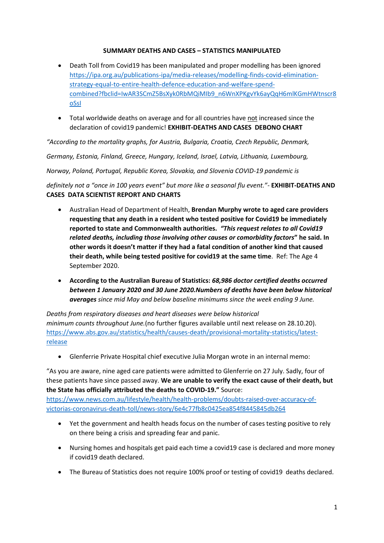## **SUMMARY DEATHS AND CASES – STATISTICS MANIPULATED**

- Death Toll from Covid19 has been manipulated and proper modelling has been ignored [https://ipa.org.au/publications-ipa/media-releases/modelling-finds-covid-elimination](https://ipa.org.au/publications-ipa/media-releases/modelling-finds-covid-elimination-strategy-equal-to-entire-health-defence-education-and-welfare-spend-combined?fbclid=IwAR3SCmZ5BsXyk0RbMQiMIb9_n6WnXPKgvYk6ayQqH6mlKGmHWtnscr8oSsI)[strategy-equal-to-entire-health-defence-education-and-welfare-spend](https://ipa.org.au/publications-ipa/media-releases/modelling-finds-covid-elimination-strategy-equal-to-entire-health-defence-education-and-welfare-spend-combined?fbclid=IwAR3SCmZ5BsXyk0RbMQiMIb9_n6WnXPKgvYk6ayQqH6mlKGmHWtnscr8oSsI)[combined?fbclid=IwAR3SCmZ5BsXyk0RbMQiMIb9\\_n6WnXPKgvYk6ayQqH6mlKGmHWtnscr8](https://ipa.org.au/publications-ipa/media-releases/modelling-finds-covid-elimination-strategy-equal-to-entire-health-defence-education-and-welfare-spend-combined?fbclid=IwAR3SCmZ5BsXyk0RbMQiMIb9_n6WnXPKgvYk6ayQqH6mlKGmHWtnscr8oSsI) [oSsI](https://ipa.org.au/publications-ipa/media-releases/modelling-finds-covid-elimination-strategy-equal-to-entire-health-defence-education-and-welfare-spend-combined?fbclid=IwAR3SCmZ5BsXyk0RbMQiMIb9_n6WnXPKgvYk6ayQqH6mlKGmHWtnscr8oSsI)
- Total worldwide deaths on average and for all countries have not increased since the declaration of covid19 pandemic! **EXHIBIT-DEATHS AND CASES DEBONO CHART**

*"According to the mortality graphs, for Austria, Bulgaria, Croatia, Czech Republic, Denmark,*

*Germany, Estonia, Finland, Greece, Hungary, Iceland, Israel, Latvia, Lithuania, Luxembourg,*

*Norway, Poland, Portugal, Republic Korea, Slovakia, and Slovenia COVID-19 pandemic is*

*definitely not a "once in 100 years event" but more like a seasonal flu event."-* **EXHIBIT-DEATHS AND CASES DATA SCIENTIST REPORT AND CHARTS**

- Australian Head of Department of Health, **Brendan Murphy wrote to aged care providers requesting that any death in a resident who tested positive for Covid19 be immediately reported to state and Commonwealth authorities.** *"This request relates to all Covid19 related deaths, including those involving other causes or comorbidity factors***" he said. In other words it doesn't matter if they had a fatal condition of another kind that caused their death, while being tested positive for covid19 at the same time**. Ref: The Age 4 September 2020.
- **According to the Australian Bureau of Statistics:** *68,986 doctor certified deaths occurred between 1 January 2020 and 30 June 2020.Numbers of deaths have been below historical averages since mid May and below baseline minimums since the week ending 9 June.*

*Deaths from respiratory diseases and heart diseases were below historical minimum counts throughout June.*(no further figures available until next release on 28.10.20). [https://www.abs.gov.au/statistics/health/causes-death/provisional-mortality-statistics/latest](https://www.abs.gov.au/statistics/health/causes-death/provisional-mortality-statistics/latest-release)[release](https://www.abs.gov.au/statistics/health/causes-death/provisional-mortality-statistics/latest-release)

• Glenferrie Private Hospital chief executive Julia Morgan wrote in an internal memo:

"As you are aware, nine aged care patients were admitted to Glenferrie on 27 July. Sadly, four of these patients have since passed away. **We are unable to verify the exact cause of their death, but the State has officially attributed the deaths to COVID-19."** Source:

[https://www.news.com.au/lifestyle/health/health-problems/doubts-raised-over-accuracy-of](https://www.news.com.au/lifestyle/health/health-problems/doubts-raised-over-accuracy-of-victorias-coronavirus-death-toll/news-story/6e4c77fb8c0425ea854f8445845db264)[victorias-coronavirus-death-toll/news-story/6e4c77fb8c0425ea854f8445845db264](https://www.news.com.au/lifestyle/health/health-problems/doubts-raised-over-accuracy-of-victorias-coronavirus-death-toll/news-story/6e4c77fb8c0425ea854f8445845db264)

- Yet the government and health heads focus on the number of cases testing positive to rely on there being a crisis and spreading fear and panic.
- Nursing homes and hospitals get paid each time a covid19 case is declared and more money if covid19 death declared.
- The Bureau of Statistics does not require 100% proof or testing of covid19 deaths declared.